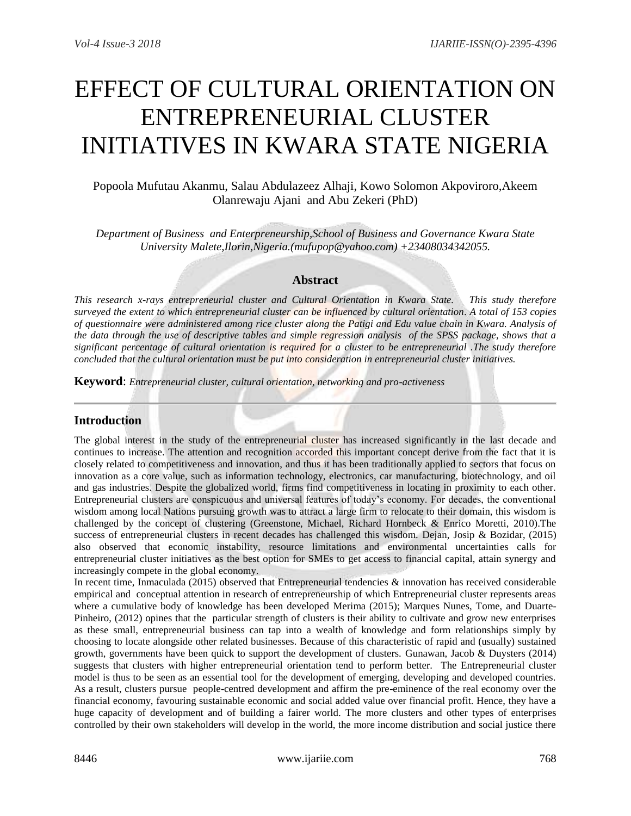# EFFECT OF CULTURAL ORIENTATION ON ENTREPRENEURIAL CLUSTER INITIATIVES IN KWARA STATE NIGERIA

# Popoola Mufutau Akanmu, Salau Abdulazeez Alhaji, Kowo Solomon Akpoviroro,Akeem Olanrewaju Ajani and Abu Zekeri (PhD)

*Department of Business and Enterpreneurship,School of Business and Governance Kwara State University Malete,Ilorin,Nigeria.(mufupop@yahoo.com) +23408034342055.*

# **Abstract**

*This research x-rays entrepreneurial cluster and Cultural Orientation in Kwara State. This study therefore surveyed the extent to which entrepreneurial cluster can be influenced by cultural orientation. A total of 153 copies of questionnaire were administered among rice cluster along the Patigi and Edu value chain in Kwara. Analysis of the data through the use of descriptive tables and simple regression analysis of the SPSS package, shows that a significant percentage of cultural orientation is required for a cluster to be entrepreneurial .The study therefore concluded that the cultural orientation must be put into consideration in entrepreneurial cluster initiatives.* 

**Keyword**: *Entrepreneurial cluster, cultural orientation, networking and pro-activeness* 

# **Introduction**

The global interest in the study of the entrepreneurial cluster has increased significantly in the last decade and continues to increase. The attention and recognition accorded this important concept derive from the fact that it is closely related to competitiveness and innovation, and thus it has been traditionally applied to sectors that focus on innovation as a core value, such as information technology, electronics, car manufacturing, biotechnology, and oil and gas industries. Despite the globalized world, firms find competitiveness in locating in proximity to each other. Entrepreneurial clusters are conspicuous and universal features of today's economy. For decades, the conventional wisdom among local Nations pursuing growth was to attract a large firm to relocate to their domain, this wisdom is challenged by the concept of clustering (Greenstone, Michael, Richard Hornbeck & Enrico Moretti, 2010).The success of entrepreneurial clusters in recent decades has challenged this wisdom. Dejan, Josip & Bozidar, (2015) also observed that economic instability, resource limitations and environmental uncertainties calls for entrepreneurial cluster initiatives as the best option for SMEs to get access to financial capital, attain synergy and increasingly compete in the global economy.

In recent time, Inmaculada (2015) observed that Entrepreneurial tendencies & innovation has received considerable empirical and conceptual attention in research of entrepreneurship of which Entrepreneurial cluster represents areas where a cumulative body of knowledge has been developed Merima (2015); Marques Nunes, Tome, and Duarte-Pinheiro, (2012) opines that the particular strength of clusters is their ability to cultivate and grow new enterprises as these small, entrepreneurial business can tap into a wealth of knowledge and form relationships simply by choosing to locate alongside other related businesses. Because of this characteristic of rapid and (usually) sustained growth, governments have been quick to support the development of clusters. Gunawan, Jacob & Duysters (2014) suggests that clusters with higher entrepreneurial orientation tend to perform better. The Entrepreneurial cluster model is thus to be seen as an essential tool for the development of emerging, developing and developed countries. As a result, clusters pursue people-centred development and affirm the pre-eminence of the real economy over the financial economy, favouring sustainable economic and social added value over financial profit. Hence, they have a huge capacity of development and of building a fairer world. The more clusters and other types of enterprises controlled by their own stakeholders will develop in the world, the more income distribution and social justice there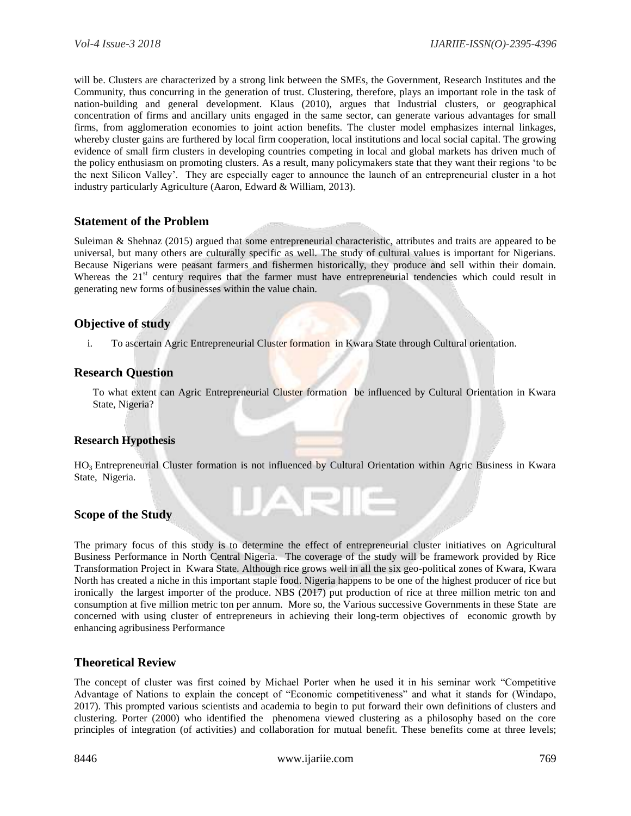will be. Clusters are characterized by a strong link between the SMEs, the Government, Research Institutes and the Community, thus concurring in the generation of trust. Clustering, therefore, plays an important role in the task of nation-building and general development. Klaus (2010), argues that Industrial clusters, or geographical concentration of firms and ancillary units engaged in the same sector, can generate various advantages for small firms, from agglomeration economies to joint action benefits. The cluster model emphasizes internal linkages, whereby cluster gains are furthered by local firm cooperation, local institutions and local social capital. The growing evidence of small firm clusters in developing countries competing in local and global markets has driven much of the policy enthusiasm on promoting clusters. As a result, many policymakers state that they want their regions 'to be the next Silicon Valley'. They are especially eager to announce the launch of an entrepreneurial cluster in a hot industry particularly Agriculture (Aaron, Edward & William, 2013).

## **Statement of the Problem**

Suleiman & Shehnaz (2015) argued that some entrepreneurial characteristic, attributes and traits are appeared to be universal, but many others are culturally specific as well. The study of cultural values is important for Nigerians. Because Nigerians were peasant farmers and fishermen historically, they produce and sell within their domain. Whereas the  $21<sup>st</sup>$  century requires that the farmer must have entrepreneurial tendencies which could result in generating new forms of businesses within the value chain.

## **Objective of study**

i. To ascertain Agric Entrepreneurial Cluster formation in Kwara State through Cultural orientation.

## **Research Question**

To what extent can Agric Entrepreneurial Cluster formation be influenced by Cultural Orientation in Kwara State, Nigeria?

## **Research Hypothesis**

HO3 Entrepreneurial Cluster formation is not influenced by Cultural Orientation within Agric Business in Kwara State, Nigeria.

JARIE

# **Scope of the Study**

The primary focus of this study is to determine the effect of entrepreneurial cluster initiatives on Agricultural Business Performance in North Central Nigeria. The coverage of the study will be framework provided by Rice Transformation Project in Kwara State. Although rice grows well in all the six geo-political zones of Kwara, Kwara North has created a niche in this important staple food. Nigeria happens to be one of the highest producer of rice but ironically the largest importer of the produce. NBS (2017) put production of rice at three million metric ton and consumption at five million metric ton per annum. More so, the Various successive Governments in these State are concerned with using cluster of entrepreneurs in achieving their long-term objectives of economic growth by enhancing agribusiness Performance

## **Theoretical Review**

The concept of cluster was first coined by Michael Porter when he used it in his seminar work "Competitive Advantage of Nations to explain the concept of "Economic competitiveness" and what it stands for (Windapo, 2017). This prompted various scientists and academia to begin to put forward their own definitions of clusters and clustering. Porter (2000) who identified the phenomena viewed clustering as a philosophy based on the core principles of integration (of activities) and collaboration for mutual benefit. These benefits come at three levels;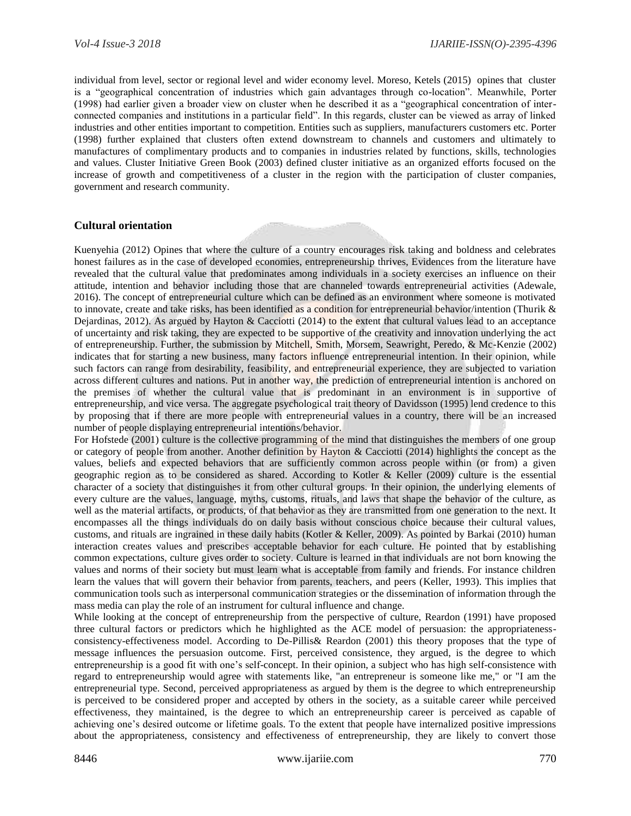individual from level, sector or regional level and wider economy level. Moreso, Ketels (2015) opines that cluster is a "geographical concentration of industries which gain advantages through co-location". Meanwhile, Porter (1998) had earlier given a broader view on cluster when he described it as a "geographical concentration of interconnected companies and institutions in a particular field". In this regards, cluster can be viewed as array of linked industries and other entities important to competition. Entities such as suppliers, manufacturers customers etc. Porter (1998) further explained that clusters often extend downstream to channels and customers and ultimately to manufactures of complimentary products and to companies in industries related by functions, skills, technologies and values. Cluster Initiative Green Book (2003) defined cluster initiative as an organized efforts focused on the increase of growth and competitiveness of a cluster in the region with the participation of cluster companies, government and research community.

#### **Cultural orientation**

Kuenyehia (2012) Opines that where the culture of a country encourages risk taking and boldness and celebrates honest failures as in the case of developed economies, entrepreneurship thrives, Evidences from the literature have revealed that the cultural value that predominates among individuals in a society exercises an influence on their attitude, intention and behavior including those that are channeled towards entrepreneurial activities (Adewale, 2016). The concept of entrepreneurial culture which can be defined as an environment where someone is motivated to innovate, create and take risks, has been identified as a condition for entrepreneurial behavior/intention (Thurik & Dejardinas, 2012). As argued by Hayton & Cacciotti (2014) to the extent that cultural values lead to an acceptance of uncertainty and risk taking, they are expected to be supportive of the creativity and innovation underlying the act of entrepreneurship. Further, the submission by Mitchell, Smith, Morsem, Seawright, Peredo, & Mc-Kenzie (2002) indicates that for starting a new business, many factors influence entrepreneurial intention. In their opinion, while such factors can range from desirability, feasibility, and entrepreneurial experience, they are subjected to variation across different cultures and nations. Put in another way, the prediction of entrepreneurial intention is anchored on the premises of whether the cultural value that is predominant in an environment is in supportive of entrepreneurship, and vice versa. The aggregate psychological trait theory of Davidsson (1995) lend credence to this by proposing that if there are more people with entrepreneurial values in a country, there will be an increased number of people displaying entrepreneurial intentions/behavior.

For Hofstede (2001) culture is the collective programming of the mind that distinguishes the members of one group or category of people from another. Another definition by Hayton & Cacciotti (2014) highlights the concept as the values, beliefs and expected behaviors that are sufficiently common across people within (or from) a given geographic region as to be considered as shared. According to Kotler & Keller (2009) culture is the essential character of a society that distinguishes it from other cultural groups. In their opinion, the underlying elements of every culture are the values, language, myths, customs, rituals, and laws that shape the behavior of the culture, as well as the material artifacts, or products, of that behavior as they are transmitted from one generation to the next. It encompasses all the things individuals do on daily basis without conscious choice because their cultural values, customs, and rituals are ingrained in these daily habits (Kotler & Keller, 2009). As pointed by Barkai (2010) human interaction creates values and prescribes acceptable behavior for each culture. He pointed that by establishing common expectations, culture gives order to society. Culture is learned in that individuals are not born knowing the values and norms of their society but must learn what is acceptable from family and friends. For instance children learn the values that will govern their behavior from parents, teachers, and peers (Keller, 1993). This implies that communication tools such as interpersonal communication strategies or the dissemination of information through the mass media can play the role of an instrument for cultural influence and change.

While looking at the concept of entrepreneurship from the perspective of culture, Reardon (1991) have proposed three cultural factors or predictors which he highlighted as the ACE model of persuasion: the appropriatenessconsistency-effectiveness model. According to De-Pillis& Reardon (2001) this theory proposes that the type of message influences the persuasion outcome. First, perceived consistence, they argued, is the degree to which entrepreneurship is a good fit with one's self-concept. In their opinion, a subject who has high self-consistence with regard to entrepreneurship would agree with statements like, "an entrepreneur is someone like me," or "I am the entrepreneurial type. Second, perceived appropriateness as argued by them is the degree to which entrepreneurship is perceived to be considered proper and accepted by others in the society, as a suitable career while perceived effectiveness, they maintained, is the degree to which an entrepreneurship career is perceived as capable of achieving one's desired outcome or lifetime goals. To the extent that people have internalized positive impressions about the appropriateness, consistency and effectiveness of entrepreneurship, they are likely to convert those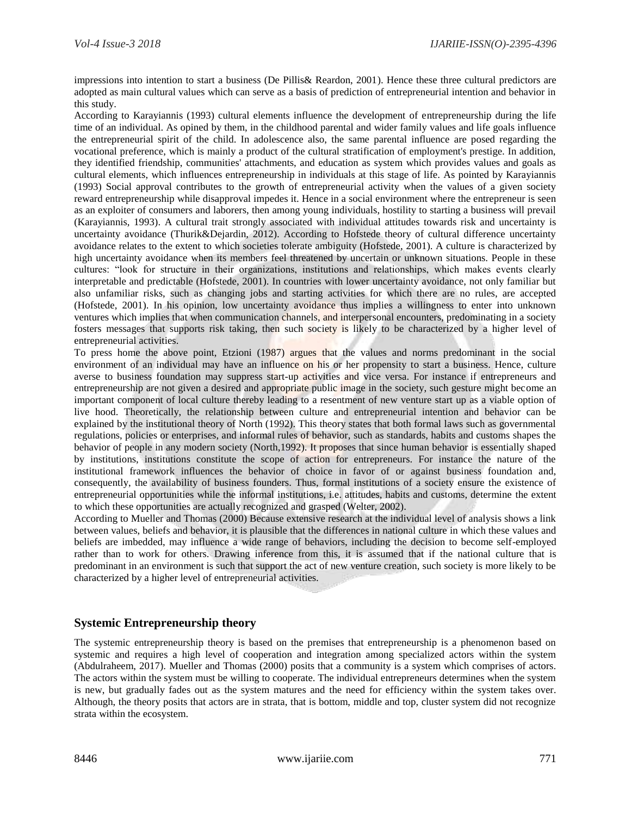impressions into intention to start a business (De Pillis& Reardon, 2001). Hence these three cultural predictors are adopted as main cultural values which can serve as a basis of prediction of entrepreneurial intention and behavior in this study.

According to Karayiannis (1993) cultural elements influence the development of entrepreneurship during the life time of an individual. As opined by them, in the childhood parental and wider family values and life goals influence the entrepreneurial spirit of the child. In adolescence also, the same parental influence are posed regarding the vocational preference, which is mainly a product of the cultural stratification of employment's prestige. In addition, they identified friendship, communities' attachments, and education as system which provides values and goals as cultural elements, which influences entrepreneurship in individuals at this stage of life. As pointed by Karayiannis (1993) Social approval contributes to the growth of entrepreneurial activity when the values of a given society reward entrepreneurship while disapproval impedes it. Hence in a social environment where the entrepreneur is seen as an exploiter of consumers and laborers, then among young individuals, hostility to starting a business will prevail (Karayiannis, 1993). A cultural trait strongly associated with individual attitudes towards risk and uncertainty is uncertainty avoidance (Thurik&Dejardin, 2012). According to Hofstede theory of cultural difference uncertainty avoidance relates to the extent to which societies tolerate ambiguity (Hofstede, 2001). A culture is characterized by high uncertainty avoidance when its members feel threatened by uncertain or unknown situations. People in these cultures: "look for structure in their organizations, institutions and relationships, which makes events clearly interpretable and predictable (Hofstede, 2001). In countries with lower uncertainty avoidance, not only familiar but also unfamiliar risks, such as changing jobs and starting activities for which there are no rules, are accepted (Hofstede, 2001). In his opinion, low uncertainty avoidance thus implies a willingness to enter into unknown ventures which implies that when communication channels, and interpersonal encounters, predominating in a society fosters messages that supports risk taking, then such society is likely to be characterized by a higher level of entrepreneurial activities.

To press home the above point, Etzioni (1987) argues that the values and norms predominant in the social environment of an individual may have an influence on his or her propensity to start a business. Hence, culture averse to business foundation may suppress start-up activities and vice versa. For instance if entrepreneurs and entrepreneurship are not given a desired and appropriate public image in the society, such gesture might become an important component of local culture thereby leading to a resentment of new venture start up as a viable option of live hood. Theoretically, the relationship between culture and entrepreneurial intention and behavior can be explained by the institutional theory of North (1992). This theory states that both formal laws such as governmental regulations, policies or enterprises, and informal rules of behavior, such as standards, habits and customs shapes the behavior of people in any modern society (North,1992). It proposes that since human behavior is essentially shaped by institutions, institutions constitute the scope of action for entrepreneurs. For instance the nature of the institutional framework influences the behavior of choice in favor of or against business foundation and, consequently, the availability of business founders. Thus, formal institutions of a society ensure the existence of entrepreneurial opportunities while the informal institutions, i.e. attitudes, habits and customs, determine the extent to which these opportunities are actually recognized and grasped (Welter, 2002).

According to Mueller and Thomas (2000) Because extensive research at the individual level of analysis shows a link between values, beliefs and behavior, it is plausible that the differences in national culture in which these values and beliefs are imbedded, may influence a wide range of behaviors, including the decision to become self-employed rather than to work for others. Drawing inference from this, it is assumed that if the national culture that is predominant in an environment is such that support the act of new venture creation, such society is more likely to be characterized by a higher level of entrepreneurial activities.

## **Systemic Entrepreneurship theory**

The systemic entrepreneurship theory is based on the premises that entrepreneurship is a phenomenon based on systemic and requires a high level of cooperation and integration among specialized actors within the system (Abdulraheem, 2017). Mueller and Thomas (2000) posits that a community is a system which comprises of actors. The actors within the system must be willing to cooperate. The individual entrepreneurs determines when the system is new, but gradually fades out as the system matures and the need for efficiency within the system takes over. Although, the theory posits that actors are in strata, that is bottom, middle and top, cluster system did not recognize strata within the ecosystem.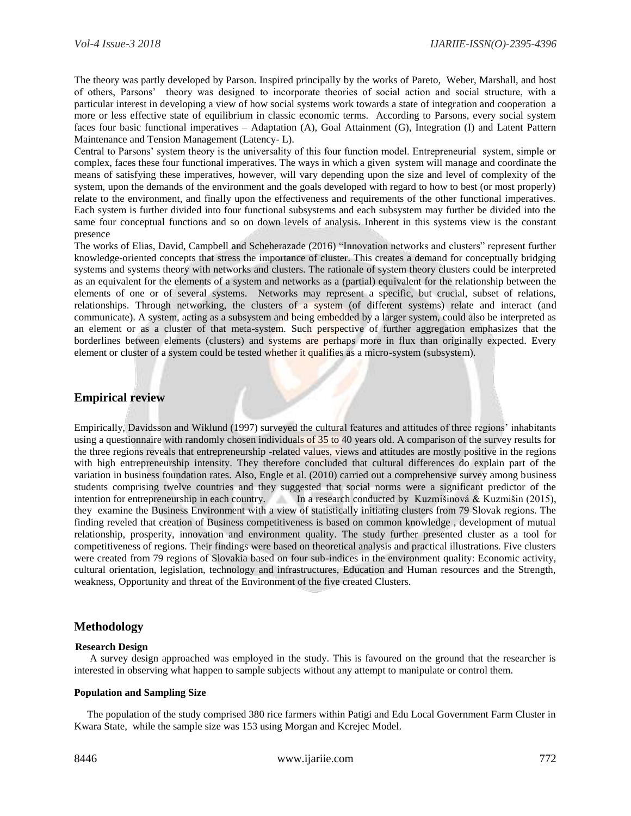The theory was partly developed by Parson. Inspired principally by the works of Pareto, Weber, Marshall, and host of others, Parsons' theory was designed to incorporate theories of social action and social structure, with a particular interest in developing a view of how social systems work towards a state of integration and cooperation a more or less effective state of equilibrium in classic economic terms. According to Parsons, every social system faces four basic functional imperatives – Adaptation (A), Goal Attainment (G), Integration (I) and Latent Pattern Maintenance and Tension Management (Latency- L).

Central to Parsons' system theory is the universality of this four function model. Entrepreneurial system, simple or complex, faces these four functional imperatives. The ways in which a given system will manage and coordinate the means of satisfying these imperatives, however, will vary depending upon the size and level of complexity of the system, upon the demands of the environment and the goals developed with regard to how to best (or most properly) relate to the environment, and finally upon the effectiveness and requirements of the other functional imperatives. Each system is further divided into four functional subsystems and each subsystem may further be divided into the same four conceptual functions and so on down levels of analysis. Inherent in this systems view is the constant presence

The works of Elias, David, Campbell and Scheherazade (2016) "Innovation networks and clusters" represent further knowledge-oriented concepts that stress the importance of cluster. This creates a demand for conceptually bridging systems and systems theory with networks and clusters. The rationale of system theory clusters could be interpreted as an equivalent for the elements of a system and networks as a (partial) equivalent for the relationship between the elements of one or of several systems. Networks may represent a specific, but crucial, subset of relations, relationships. Through networking, the clusters of a system (of different systems) relate and interact (and communicate). A system, acting as a subsystem and being embedded by a larger system, could also be interpreted as an element or as a cluster of that meta-system. Such perspective of further aggregation emphasizes that the borderlines between elements (clusters) and systems are perhaps more in flux than originally expected. Every element or cluster of a system could be tested whether it qualifies as a micro-system (subsystem).

## **Empirical review**

Empirically, Davidsson and Wiklund (1997) surveyed the cultural features and attitudes of three regions' inhabitants using a questionnaire with randomly chosen individuals of 35 to 40 years old. A comparison of the survey results for the three regions reveals that entrepreneurship -related values, views and attitudes are mostly positive in the regions with high entrepreneurship intensity. They therefore concluded that cultural differences do explain part of the variation in business foundation rates. Also, Engle et al. (2010) carried out a comprehensive survey among business students comprising twelve countries and they suggested that social norms were a significant predictor of the intention for entrepreneurship in each country. In a research conducted by Kuzmišinová & Kuzmišin (2015), they examine the Business Environment with a view of statistically initiating clusters from 79 Slovak regions. The finding reveled that creation of Business competitiveness is based on common knowledge , development of mutual relationship, prosperity, innovation and environment quality. The study further presented cluster as a tool for competitiveness of regions. Their findings were based on theoretical analysis and practical illustrations. Five clusters were created from 79 regions of Slovakia based on four sub-indices in the environment quality: Economic activity, cultural orientation, legislation, technology and infrastructures, Education and Human resources and the Strength, weakness, Opportunity and threat of the Environment of the five created Clusters.

## **Methodology**

#### **Research Design**

 A survey design approached was employed in the study. This is favoured on the ground that the researcher is interested in observing what happen to sample subjects without any attempt to manipulate or control them.

#### **Population and Sampling Size**

 The population of the study comprised 380 rice farmers within Patigi and Edu Local Government Farm Cluster in Kwara State, while the sample size was 153 using Morgan and Kcrejec Model.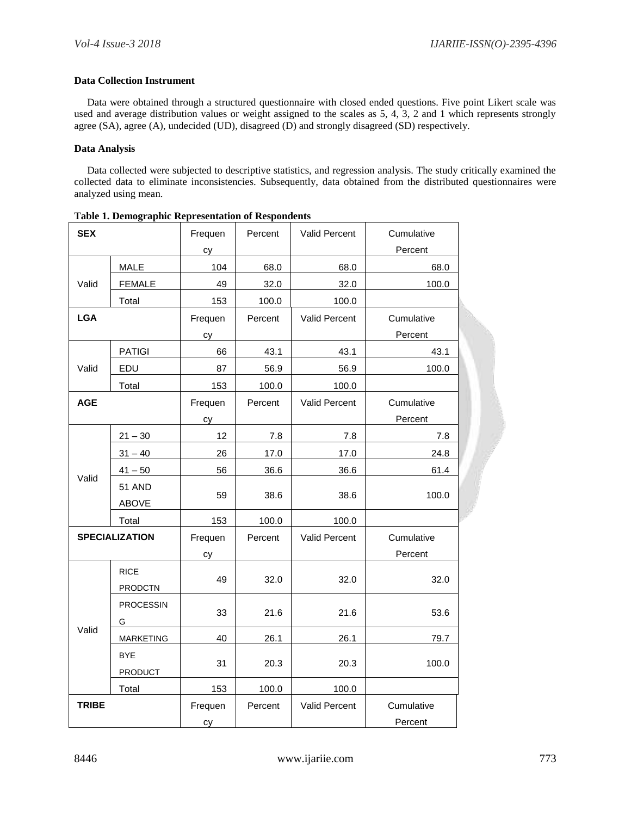#### **Data Collection Instrument**

 Data were obtained through a structured questionnaire with closed ended questions. Five point Likert scale was used and average distribution values or weight assigned to the scales as 5, 4, 3, 2 and 1 which represents strongly agree (SA), agree (A), undecided (UD), disagreed (D) and strongly disagreed (SD) respectively.

#### **Data Analysis**

 Data collected were subjected to descriptive statistics, and regression analysis. The study critically examined the collected data to eliminate inconsistencies. Subsequently, data obtained from the distributed questionnaires were analyzed using mean.

| тами 1. веннодгарние иергеминантон темронасны<br><b>SEX</b> |                               | Frequen | Percent | Valid Percent | Cumulative |
|-------------------------------------------------------------|-------------------------------|---------|---------|---------------|------------|
|                                                             |                               | cy      |         |               | Percent    |
|                                                             | MALE                          | 104     | 68.0    | 68.0          | 68.0       |
| Valid                                                       | <b>FEMALE</b>                 | 49      | 32.0    | 32.0          | 100.0      |
|                                                             | Total                         | 153     | 100.0   | 100.0         |            |
| <b>LGA</b>                                                  |                               | Frequen | Percent | Valid Percent | Cumulative |
|                                                             |                               | сy      |         |               | Percent    |
|                                                             | <b>PATIGI</b>                 | 66      | 43.1    | 43.1          | 43.1       |
| Valid                                                       | EDU                           | 87      | 56.9    | 56.9          | 100.0      |
|                                                             | Total                         | 153     | 100.0   | 100.0         |            |
| <b>AGE</b>                                                  |                               | Frequen | Percent | Valid Percent | Cumulative |
|                                                             |                               | cy      |         |               | Percent    |
| Valid                                                       | $21 - 30$                     | 12      | 7.8     | 7.8           | 7.8        |
|                                                             | $31 - 40$                     | 26      | 17.0    | 17.0          | 24.8       |
|                                                             | $41 - 50$                     | 56      | 36.6    | 36.6          | 61.4       |
|                                                             | 51 AND                        |         | 38.6    | 38.6          |            |
|                                                             | ABOVE                         | 59      |         |               | 100.0      |
|                                                             | Total                         | 153     | 100.0   | 100.0         |            |
|                                                             | <b>SPECIALIZATION</b>         | Frequen | Percent | Valid Percent | Cumulative |
|                                                             |                               | сy      |         |               | Percent    |
|                                                             | <b>RICE</b><br><b>PRODCTN</b> | 49      | 32.0    | 32.0          | 32.0       |
|                                                             | <b>PROCESSIN</b>              | 33      | 21.6    | 21.6          | 53.6       |
| Valid                                                       | G                             |         |         |               |            |
|                                                             | <b>MARKETING</b>              | 40      | 26.1    | 26.1          | 79.7       |
|                                                             | <b>BYE</b>                    | 31      | 20.3    | 20.3          | 100.0      |
|                                                             | PRODUCT                       |         |         |               |            |
|                                                             | Total                         | 153     | 100.0   | 100.0         |            |
| <b>TRIBE</b>                                                |                               | Frequen | Percent | Valid Percent | Cumulative |
|                                                             |                               | cy      |         |               | Percent    |

**Table 1. Demographic Representation of Respondents**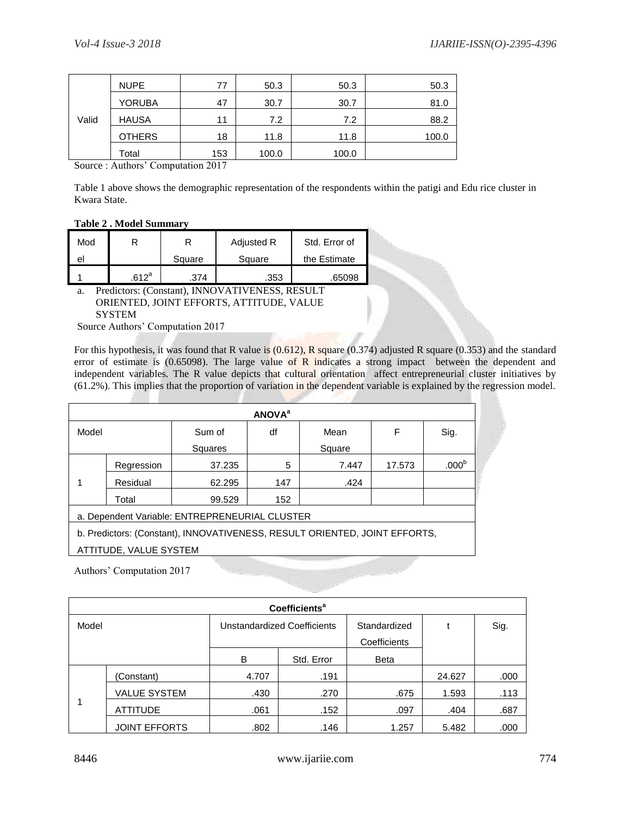| Valid | <b>NUPE</b>   | 77  | 50.3  | 50.3  | 50.3  |
|-------|---------------|-----|-------|-------|-------|
|       | <b>YORUBA</b> | 47  | 30.7  | 30.7  | 81.0  |
|       | <b>HAUSA</b>  | 11  | 7.2   | 7.2   | 88.2  |
|       | <b>OTHERS</b> | 18  | 11.8  | 11.8  | 100.0 |
|       | Total         | 153 | 100.0 | 100.0 |       |

Source : Authors' Computation 2017

Table 1 above shows the demographic representation of the respondents within the patigi and Edu rice cluster in Kwara State.

#### **Table 2 . Model Summary**

| Mod |                  |        | Adjusted R | Std. Error of |  |
|-----|------------------|--------|------------|---------------|--|
| el  |                  | Square | Square     | the Estimate  |  |
|     | 612 <sup>a</sup> | 374    | .353       | .65098        |  |

a. Predictors: (Constant), INNOVATIVENESS, RESULT ORIENTED, JOINT EFFORTS, ATTITUDE, VALUE **SYSTEM** 

Source Authors' Computation 2017

For this hypothesis, it was found that R value is  $(0.612)$ , R square  $(0.374)$  adjusted R square  $(0.353)$  and the standard error of estimate is  $(0.65098)$ . The large value of R indicates a strong impact between the dependent and independent variables. The R value depicts that cultural orientation affect entrepreneurial cluster initiatives by (61.2%). This implies that the proportion of variation in the dependent variable is explained by the regression model.

| <b>ANOVA</b> <sup>a</sup> |            |                                                                            |     |        |        |                   |  |  |
|---------------------------|------------|----------------------------------------------------------------------------|-----|--------|--------|-------------------|--|--|
| Model                     |            | Sum of                                                                     | df  | Mean   | F      | Sig.              |  |  |
|                           |            | Squares                                                                    |     | Square |        |                   |  |  |
|                           | Regression | 37.235                                                                     | 5   | 7.447  | 17.573 | .000 <sup>b</sup> |  |  |
|                           | Residual   | 62.295                                                                     | 147 | .424   |        |                   |  |  |
|                           | Total      | 99.529                                                                     | 152 |        |        |                   |  |  |
|                           |            | a. Dependent Variable: ENTREPRENEURIAL CLUSTER                             |     |        |        |                   |  |  |
|                           |            | b. Predictors: (Constant), INNOVATIVENESS, RESULT ORIENTED, JOINT EFFORTS, |     |        |        |                   |  |  |
| ATTITUDE, VALUE SYSTEM    |            |                                                                            |     |        |        |                   |  |  |

Authors' Computation 2017

| <b>Coefficients<sup>a</sup></b> |                      |                             |            |                              |        |      |  |  |
|---------------------------------|----------------------|-----------------------------|------------|------------------------------|--------|------|--|--|
| Model                           |                      | Unstandardized Coefficients |            | Standardized<br>Coefficients |        | Sig. |  |  |
|                                 |                      | B                           | Std. Error | <b>Beta</b>                  |        |      |  |  |
|                                 | (Constant)           | 4.707                       | .191       |                              | 24.627 | .000 |  |  |
|                                 | <b>VALUE SYSTEM</b>  | .430                        | .270       | .675                         | 1.593  | .113 |  |  |
|                                 | <b>ATTITUDE</b>      | .061                        | .152       | .097                         | .404   | .687 |  |  |
|                                 | <b>JOINT EFFORTS</b> | .802                        | .146       | 1.257                        | 5.482  | .000 |  |  |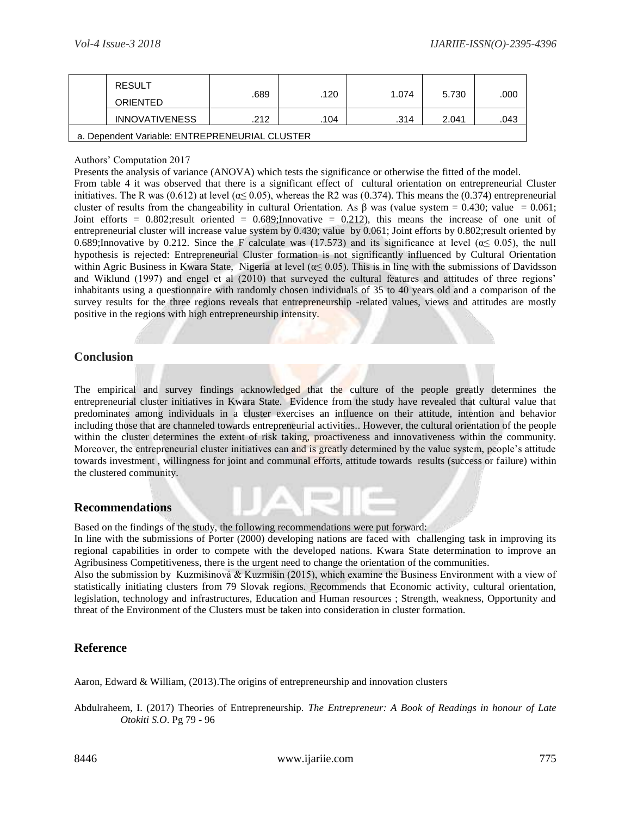|                                                | <b>RESULT</b><br>ORIENTED | .689 | .120 | 1.074 | 5.730 | .000 |  |  |
|------------------------------------------------|---------------------------|------|------|-------|-------|------|--|--|
|                                                | <b>INNOVATIVENESS</b>     | .212 | .104 | .314  | 2.041 | .043 |  |  |
| a. Dependent Variable: ENTREPRENEURIAL CLUSTER |                           |      |      |       |       |      |  |  |

Authors' Computation 2017

Presents the analysis of variance (ANOVA) which tests the significance or otherwise the fitted of the model.

From table 4 it was observed that there is a significant effect of cultural orientation on entrepreneurial Cluster initiatives. The R was (0.612) at level ( $\alpha$  
s (0.05), whereas the R2 was (0.374). This means the (0.374) entrepreneurial cluster of results from the changeability in cultural Orientation. As  $\beta$  was (value system = 0.430; value = 0.061; Joint efforts =  $0.802$ ; result oriented =  $0.689$ ; Innovative = 0.212), this means the increase of one unit of entrepreneurial cluster will increase value system by 0.430; value by 0.061; Joint efforts by 0.802;result oriented by 0.689;Innovative by 0.212. Since the F calculate was (17.573) and its significance at level ( $\alpha \le 0.05$ ), the null hypothesis is rejected: Entrepreneurial Cluster formation is not significantly influenced by Cultural Orientation within Agric Business in Kwara State, Nigeria at level ( $\alpha \leq 0.05$ ). This is in line with the submissions of Davidsson and Wiklund (1997) and engel et al (2010) that surveyed the cultural features and attitudes of three regions' inhabitants using a questionnaire with randomly chosen individuals of 35 to 40 years old and a comparison of the survey results for the three regions reveals that entrepreneurship -related values, views and attitudes are mostly positive in the regions with high entrepreneurship intensity.

# **Conclusion**

The empirical and survey findings acknowledged that the culture of the people greatly determines the entrepreneurial cluster initiatives in Kwara State. Evidence from the study have revealed that cultural value that predominates among individuals in a cluster exercises an influence on their attitude, intention and behavior including those that are channeled towards entrepreneurial activities.. However, the cultural orientation of the people within the cluster determines the extent of risk taking, proactiveness and innovativeness within the community. Moreover, the entrepreneurial cluster initiatives can and is greatly determined by the value system, people's attitude towards investment , willingness for joint and communal efforts, attitude towards results (success or failure) within the clustered community.

## **Recommendations**

Based on the findings of the study, the following recommendations were put forward:

In line with the submissions of Porter (2000) developing nations are faced with challenging task in improving its regional capabilities in order to compete with the developed nations. Kwara State determination to improve an Agribusiness Competitiveness, there is the urgent need to change the orientation of the communities.

Also the submission by Kuzmišinová & Kuzmišin (2015), which examine the Business Environment with a view of statistically initiating clusters from 79 Slovak regions. Recommends that Economic activity, cultural orientation, legislation, technology and infrastructures, Education and Human resources ; Strength, weakness, Opportunity and threat of the Environment of the Clusters must be taken into consideration in cluster formation.

# **Reference**

Aaron, Edward & William, (2013).The origins of entrepreneurship and innovation clusters

Abdulraheem, I. (2017) Theories of Entrepreneurship. *The Entrepreneur: A Book of Readings in honour of Late Otokiti S.O*. Pg 79 - 96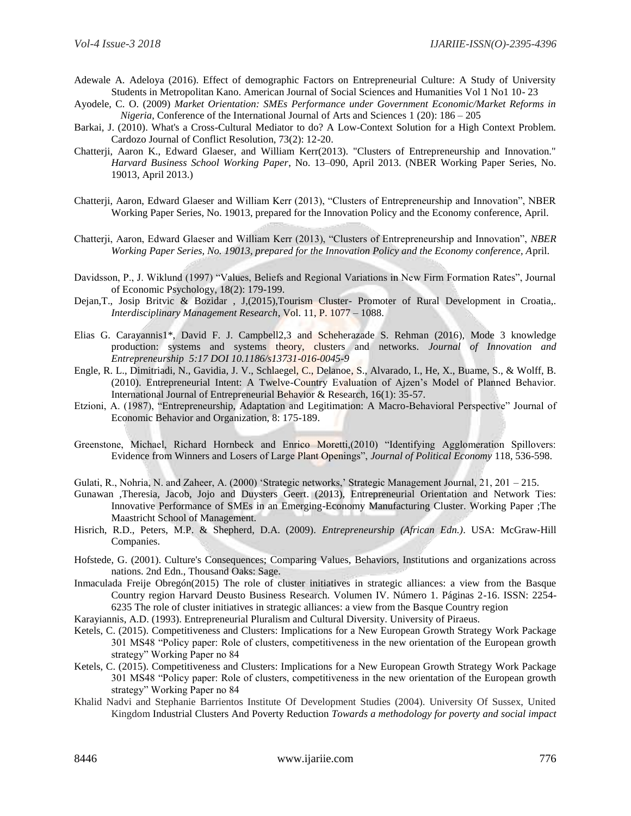- Adewale A. Adeloya (2016). Effect of demographic Factors on Entrepreneurial Culture: A Study of University Students in Metropolitan Kano. American Journal of Social Sciences and Humanities Vol 1 No1 10- 23
- Ayodele, C. O. (2009) *Market Orientation: SMEs Performance under Government Economic/Market Reforms in Nigeria*, Conference of the International Journal of Arts and Sciences 1 (20): 186 – 205
- Barkai, J. (2010). What's a Cross-Cultural Mediator to do? A Low-Context Solution for a High Context Problem. Cardozo Journal of Conflict Resolution, 73(2): 12-20.
- Chatterji, Aaron K., Edward Glaeser, and William Kerr(2013). "Clusters of Entrepreneurship and Innovation." *Harvard Business School Working Paper*, No. 13–090, April 2013. (NBER Working Paper Series, No. 19013, April 2013.)
- Chatterji, Aaron, Edward Glaeser and William Kerr (2013), "Clusters of Entrepreneurship and Innovation", NBER Working Paper Series, No. 19013, prepared for the Innovation Policy and the Economy conference, April.
- Chatterji, Aaron, Edward Glaeser and William Kerr (2013), "Clusters of Entrepreneurship and Innovation", *NBER Working Paper Series, No. 19013, prepared for the Innovation Policy and the Economy conference, A*pril.
- Davidsson, P., J. Wiklund (1997) "Values, Beliefs and Regional Variations in New Firm Formation Rates", Journal of Economic Psychology, 18(2): 179-199.
- Dejan,T., Josip Britvic & Bozidar , J,(2015),Tourism Cluster- Promoter of Rural Development in Croatia,. *Interdisciplinary Management Research*, Vol. 11, P. 1077 – 1088.
- Elias G. Carayannis1\*, David F. J. Campbell2,3 and Scheherazade S. Rehman (2016), Mode 3 knowledge production: systems and systems theory, clusters and networks. *Journal of Innovation and Entrepreneurship 5:17 DOI 10.1186/s13731-016-0045-9*
- Engle, R. L., Dimitriadi, N., Gavidia, J. V., Schlaegel, C., Delanoe, S., Alvarado, I., He, X., Buame, S., & Wolff, B. (2010). Entrepreneurial Intent: A Twelve-Country Evaluation of Ajzen's Model of Planned Behavior. International Journal of Entrepreneurial Behavior & Research, 16(1): 35-57.
- Etzioni, A. (1987), "Entrepreneurship, Adaptation and Legitimation: A Macro-Behavioral Perspective" Journal of Economic Behavior and Organization, 8: 175-189.
- Greenstone, Michael, Richard Hornbeck and Enrico Moretti,(2010) "Identifying Agglomeration Spillovers: Evidence from Winners and Losers of Large Plant Openings", *Journal of Political Economy* 118, 536-598.
- Gulati, R., Nohria, N. and Zaheer, A. (2000) 'Strategic networks,' Strategic Management Journal, 21, 201 215.
- Gunawan ,Theresia, Jacob, Jojo and Duysters Geert. (2013), Entrepreneurial Orientation and Network Ties: Innovative Performance of SMEs in an Emerging-Economy Manufacturing Cluster. Working Paper ;The Maastricht School of Management.
- Hisrich, R.D., Peters, M.P. & Shepherd, D.A. (2009). *Entrepreneurship (African Edn.)*. USA: McGraw-Hill Companies.
- Hofstede, G. (2001). Culture's Consequences; Comparing Values, Behaviors, Institutions and organizations across nations. 2nd Edn., Thousand Oaks: Sage.
- Inmaculada Freije Obregón(2015) The role of cluster initiatives in strategic alliances: a view from the Basque Country region Harvard Deusto Business Research. Volumen IV. Número 1. Páginas 2-16. ISSN: 2254- 6235 The role of cluster initiatives in strategic alliances: a view from the Basque Country region
- Karayiannis, A.D. (1993). Entrepreneurial Pluralism and Cultural Diversity. University of Piraeus.
- Ketels, C. (2015). Competitiveness and Clusters: Implications for a New European Growth Strategy Work Package 301 MS48 "Policy paper: Role of clusters, competitiveness in the new orientation of the European growth strategy" Working Paper no 84
- Ketels, C. (2015). Competitiveness and Clusters: Implications for a New European Growth Strategy Work Package 301 MS48 "Policy paper: Role of clusters, competitiveness in the new orientation of the European growth strategy" Working Paper no 84
- Khalid Nadvi and Stephanie Barrientos Institute Of Development Studies (2004). University Of Sussex, United Kingdom Industrial Clusters And Poverty Reduction *Towards a methodology for poverty and social impact*